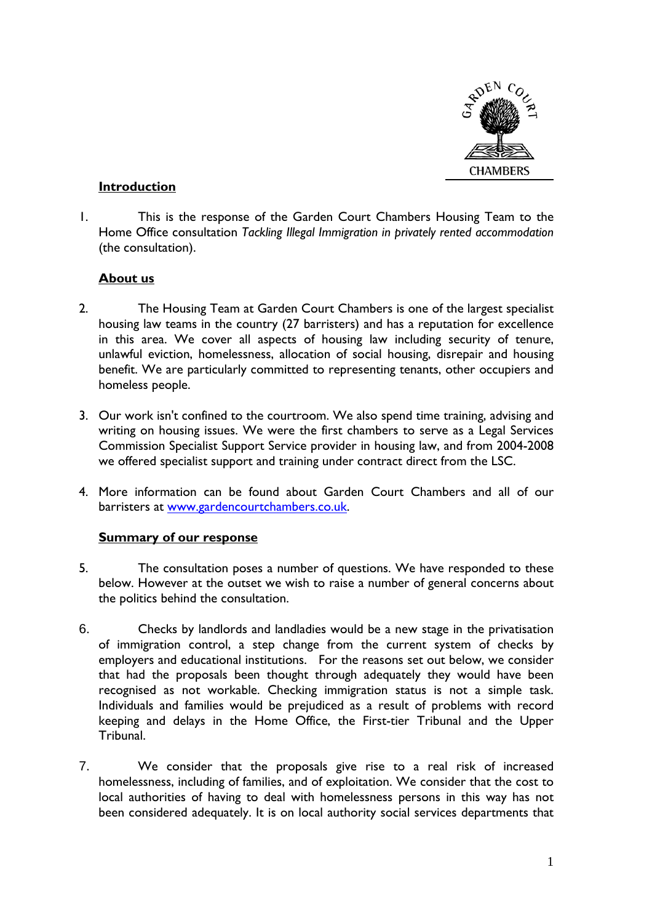

#### **Introduction**

1. This is the response of the Garden Court Chambers Housing Team to the Home Office consultation *Tackling Illegal Immigration in privately rented accommodation* (the consultation).

#### **About us**

- 2. The Housing Team at Garden Court Chambers is one of the largest specialist housing law teams in the country (27 barristers) and has a reputation for excellence in this area. We cover all aspects of housing law including security of tenure, unlawful eviction, homelessness, allocation of social housing, disrepair and housing benefit. We are particularly committed to representing tenants, other occupiers and homeless people.
- 3. Our work isn't confined to the courtroom. We also spend time training, advising and writing on housing issues. We were the first chambers to serve as a Legal Services Commission Specialist Support Service provider in housing law, and from 2004-2008 we offered specialist support and training under contract direct from the LSC.
- 4. More information can be found about Garden Court Chambers and all of our barristers at www.gardencourtchambers.co.uk.

# **Summary of our response**

- 5. The consultation poses a number of questions. We have responded to these below. However at the outset we wish to raise a number of general concerns about the politics behind the consultation.
- 6. Checks by landlords and landladies would be a new stage in the privatisation of immigration control, a step change from the current system of checks by employers and educational institutions. For the reasons set out below, we consider that had the proposals been thought through adequately they would have been recognised as not workable. Checking immigration status is not a simple task. Individuals and families would be prejudiced as a result of problems with record keeping and delays in the Home Office, the First-tier Tribunal and the Upper Tribunal.
- 7. We consider that the proposals give rise to a real risk of increased homelessness, including of families, and of exploitation. We consider that the cost to local authorities of having to deal with homelessness persons in this way has not been considered adequately. It is on local authority social services departments that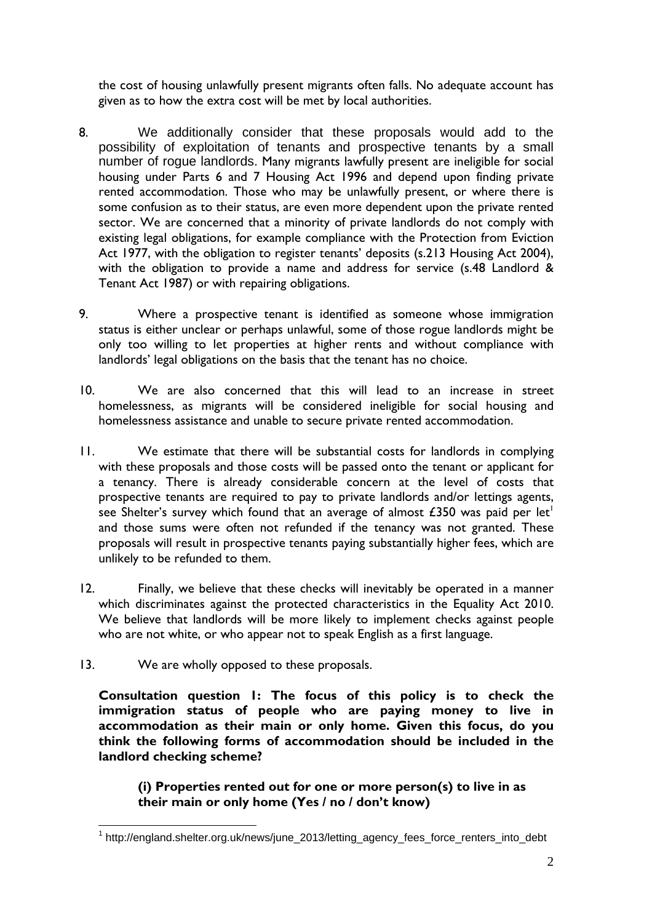the cost of housing unlawfully present migrants often falls. No adequate account has given as to how the extra cost will be met by local authorities.

- 8. We additionally consider that these proposals would add to the possibility of exploitation of tenants and prospective tenants by a small number of rogue landlords. Many migrants lawfully present are ineligible for social housing under Parts 6 and 7 Housing Act 1996 and depend upon finding private rented accommodation. Those who may be unlawfully present, or where there is some confusion as to their status, are even more dependent upon the private rented sector. We are concerned that a minority of private landlords do not comply with existing legal obligations, for example compliance with the Protection from Eviction Act 1977, with the obligation to register tenants' deposits (s.213 Housing Act 2004), with the obligation to provide a name and address for service (s.48 Landlord & Tenant Act 1987) or with repairing obligations.
- 9. Where a prospective tenant is identified as someone whose immigration status is either unclear or perhaps unlawful, some of those rogue landlords might be only too willing to let properties at higher rents and without compliance with landlords' legal obligations on the basis that the tenant has no choice.
- 10. We are also concerned that this will lead to an increase in street homelessness, as migrants will be considered ineligible for social housing and homelessness assistance and unable to secure private rented accommodation.
- 11. We estimate that there will be substantial costs for landlords in complying with these proposals and those costs will be passed onto the tenant or applicant for a tenancy. There is already considerable concern at the level of costs that prospective tenants are required to pay to private landlords and/or lettings agents, see Shelter's survey which found that an average of almost £350 was paid per let<sup>1</sup> and those sums were often not refunded if the tenancy was not granted. These proposals will result in prospective tenants paying substantially higher fees, which are unlikely to be refunded to them.
- 12. Finally, we believe that these checks will inevitably be operated in a manner which discriminates against the protected characteristics in the Equality Act 2010. We believe that landlords will be more likely to implement checks against people who are not white, or who appear not to speak English as a first language.
- 13. We are wholly opposed to these proposals.

**Consultation question 1: The focus of this policy is to check the immigration status of people who are paying money to live in accommodation as their main or only home. Given this focus, do you think the following forms of accommodation should be included in the landlord checking scheme?** 

**(i) Properties rented out for one or more person(s) to live in as their main or only home (Yes / no / don't know)** 

 1 http://england.shelter.org.uk/news/june\_2013/letting\_agency\_fees\_force\_renters\_into\_debt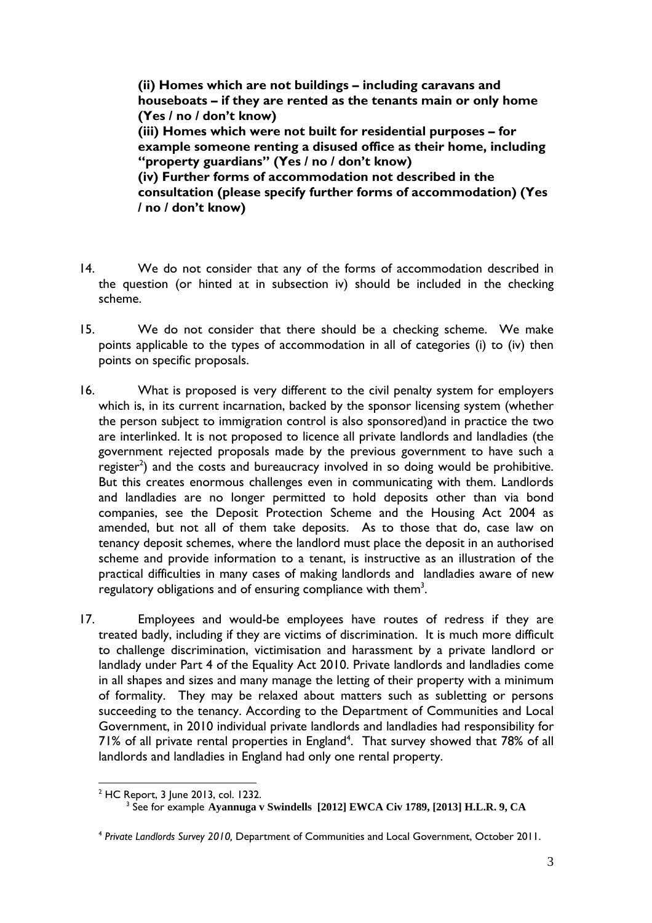**(ii) Homes which are not buildings – including caravans and houseboats – if they are rented as the tenants main or only home (Yes / no / don't know) (iii) Homes which were not built for residential purposes – for example someone renting a disused office as their home, including "property guardians" (Yes / no / don't know) (iv) Further forms of accommodation not described in the consultation (please specify further forms of accommodation) (Yes / no / don't know)** 

- 14. We do not consider that any of the forms of accommodation described in the question (or hinted at in subsection iv) should be included in the checking scheme.
- 15. We do not consider that there should be a checking scheme. We make points applicable to the types of accommodation in all of categories (i) to (iv) then points on specific proposals.
- 16. What is proposed is very different to the civil penalty system for employers which is, in its current incarnation, backed by the sponsor licensing system (whether the person subject to immigration control is also sponsored)and in practice the two are interlinked. It is not proposed to licence all private landlords and landladies (the government rejected proposals made by the previous government to have such a register<sup>2</sup>) and the costs and bureaucracy involved in so doing would be prohibitive. But this creates enormous challenges even in communicating with them. Landlords and landladies are no longer permitted to hold deposits other than via bond companies, see the Deposit Protection Scheme and the Housing Act 2004 as amended, but not all of them take deposits. As to those that do, case law on tenancy deposit schemes, where the landlord must place the deposit in an authorised scheme and provide information to a tenant, is instructive as an illustration of the practical difficulties in many cases of making landlords and landladies aware of new regulatory obligations and of ensuring compliance with them<sup>3</sup>.
- 17. Employees and would-be employees have routes of redress if they are treated badly, including if they are victims of discrimination. It is much more difficult to challenge discrimination, victimisation and harassment by a private landlord or landlady under Part 4 of the Equality Act 2010. Private landlords and landladies come in all shapes and sizes and many manage the letting of their property with a minimum of formality. They may be relaxed about matters such as subletting or persons succeeding to the tenancy. According to the Department of Communities and Local Government, in 2010 individual private landlords and landladies had responsibility for  $71\%$  of all private rental properties in England<sup>4</sup>. That survey showed that  $78\%$  of all landlords and landladies in England had only one rental property.

 $\overline{a}$ <sup>2</sup> HC Report, 3 June 2013, col. 1232.

<sup>3</sup> See for example **Ayannuga v Swindells [2012] EWCA Civ 1789, [2013] H.L.R. 9, CA** 

<sup>4</sup> *Private Landlords Survey 2010,* Department of Communities and Local Government, October 2011.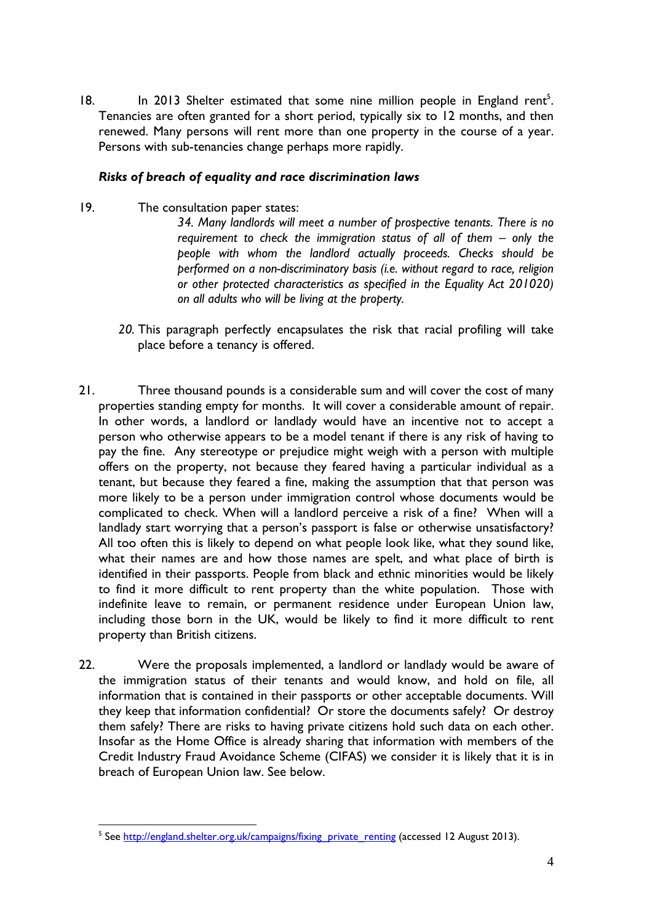18. In 2013 Shelter estimated that some nine million people in England rent<sup>5</sup>. Tenancies are often granted for a short period, typically six to 12 months, and then renewed. Many persons will rent more than one property in the course of a year. Persons with sub-tenancies change perhaps more rapidly.

#### *Risks of breach of equality and race discrimination laws*

19. The consultation paper states:

*34. Many landlords will meet a number of prospective tenants. There is no requirement to check the immigration status of all of them – only the people with whom the landlord actually proceeds. Checks should be performed on a non-discriminatory basis (i.e. without regard to race, religion or other protected characteristics as specified in the Equality Act 201020) on all adults who will be living at the property.* 

- *20.* This paragraph perfectly encapsulates the risk that racial profiling will take place before a tenancy is offered.
- 21. Three thousand pounds is a considerable sum and will cover the cost of many properties standing empty for months. It will cover a considerable amount of repair. In other words, a landlord or landlady would have an incentive not to accept a person who otherwise appears to be a model tenant if there is any risk of having to pay the fine. Any stereotype or prejudice might weigh with a person with multiple offers on the property, not because they feared having a particular individual as a tenant, but because they feared a fine, making the assumption that that person was more likely to be a person under immigration control whose documents would be complicated to check. When will a landlord perceive a risk of a fine? When will a landlady start worrying that a person's passport is false or otherwise unsatisfactory? All too often this is likely to depend on what people look like, what they sound like, what their names are and how those names are spelt, and what place of birth is identified in their passports. People from black and ethnic minorities would be likely to find it more difficult to rent property than the white population. Those with indefinite leave to remain, or permanent residence under European Union law, including those born in the UK, would be likely to find it more difficult to rent property than British citizens.
- 22. Were the proposals implemented, a landlord or landlady would be aware of the immigration status of their tenants and would know, and hold on file, all information that is contained in their passports or other acceptable documents. Will they keep that information confidential? Or store the documents safely? Or destroy them safely? There are risks to having private citizens hold such data on each other. Insofar as the Home Office is already sharing that information with members of the Credit Industry Fraud Avoidance Scheme (CIFAS) we consider it is likely that it is in breach of European Union law. See below.

<sup>&</sup>lt;u>s</u><br>See <u>http://england.shelter.org.uk/campaigns/fixing\_private\_renting</u> (accessed 12 August 2013).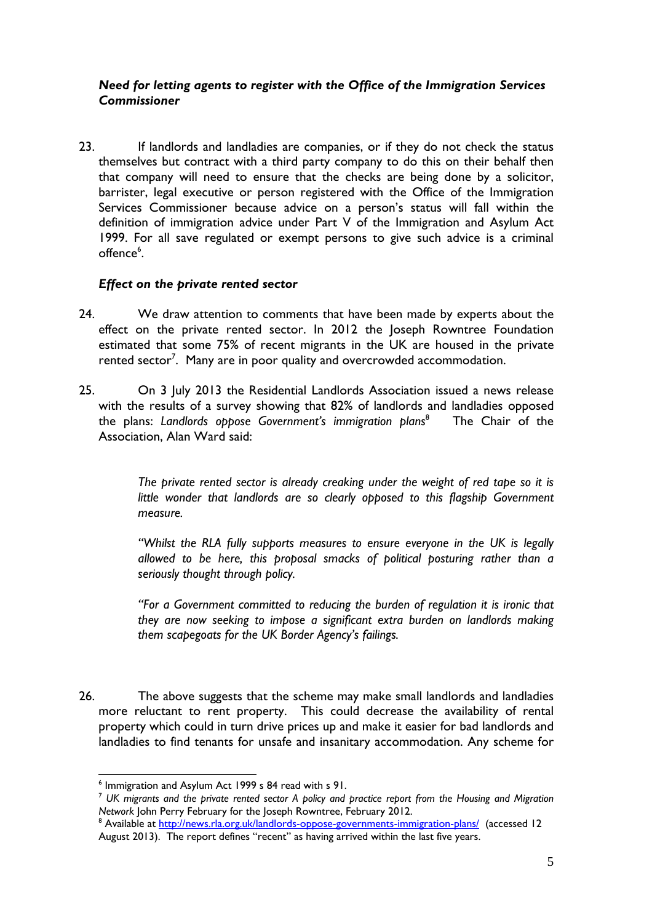## *Need for letting agents to register with the Office of the Immigration Services Commissioner*

23. If landlords and landladies are companies, or if they do not check the status themselves but contract with a third party company to do this on their behalf then that company will need to ensure that the checks are being done by a solicitor, barrister, legal executive or person registered with the Office of the Immigration Services Commissioner because advice on a person's status will fall within the definition of immigration advice under Part V of the Immigration and Asylum Act 1999. For all save regulated or exempt persons to give such advice is a criminal offence<sup>6</sup>.

#### *Effect on the private rented sector*

- 24. We draw attention to comments that have been made by experts about the effect on the private rented sector. In 2012 the Joseph Rowntree Foundation estimated that some 75% of recent migrants in the UK are housed in the private rented sector<sup>7</sup>. Many are in poor quality and overcrowded accommodation.
- 25. On 3 July 2013 the Residential Landlords Association issued a news release with the results of a survey showing that 82% of landlords and landladies opposed the plans: *Landlords oppose Government's immigration plans*<sup>8</sup> The Chair of the Association, Alan Ward said:

*The private rented sector is already creaking under the weight of red tape so it is little wonder that landlords are so clearly opposed to this flagship Government measure.* 

*"Whilst the RLA fully supports measures to ensure everyone in the UK is legally allowed to be here, this proposal smacks of political posturing rather than a seriously thought through policy.* 

*"For a Government committed to reducing the burden of regulation it is ironic that they are now seeking to impose a significant extra burden on landlords making them scapegoats for the UK Border Agency's failings.* 

26. The above suggests that the scheme may make small landlords and landladies more reluctant to rent property. This could decrease the availability of rental property which could in turn drive prices up and make it easier for bad landlords and landladies to find tenants for unsafe and insanitary accommodation. Any scheme for

 6 Immigration and Asylum Act 1999 s 84 read with s 91.

<sup>7</sup> *UK migrants and the private rented sector A policy and practice report from the Housing and Migration Network* John Perry February for the Joseph Rowntree, February 2012.

<sup>&</sup>lt;sup>8</sup> Available at <u>http://news.rla.org.uk/landlords-oppose-governments-immigration-plans/</u> (accessed 12) August 2013). The report defines "recent" as having arrived within the last five years.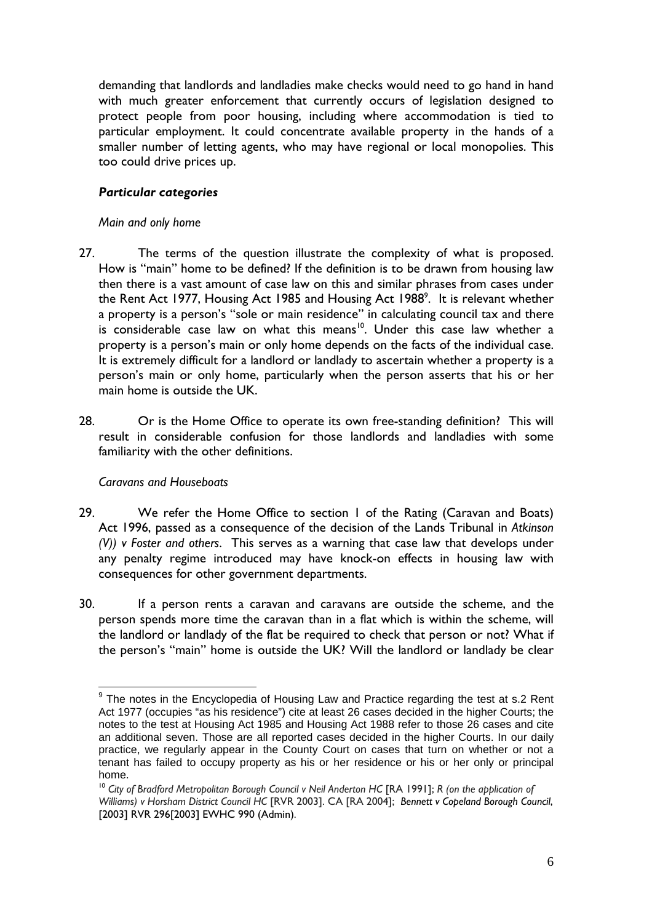demanding that landlords and landladies make checks would need to go hand in hand with much greater enforcement that currently occurs of legislation designed to protect people from poor housing, including where accommodation is tied to particular employment. It could concentrate available property in the hands of a smaller number of letting agents, who may have regional or local monopolies. This too could drive prices up.

# *Particular categories*

#### *Main and only home*

- 27. The terms of the question illustrate the complexity of what is proposed. How is "main" home to be defined? If the definition is to be drawn from housing law then there is a vast amount of case law on this and similar phrases from cases under the Rent Act 1977, Housing Act 1985 and Housing Act 1988 $^{\circ}$ . It is relevant whether a property is a person's "sole or main residence" in calculating council tax and there is considerable case law on what this means<sup>10</sup>. Under this case law whether a property is a person's main or only home depends on the facts of the individual case. It is extremely difficult for a landlord or landlady to ascertain whether a property is a person's main or only home, particularly when the person asserts that his or her main home is outside the UK.
- 28. Or is the Home Office to operate its own free-standing definition? This will result in considerable confusion for those landlords and landladies with some familiarity with the other definitions.

# *Caravans and Houseboats*

- 29. We refer the Home Office to section 1 of the Rating (Caravan and Boats) Act 1996, passed as a consequence of the decision of the Lands Tribunal in *Atkinson (V)) v Foster and others*. This serves as a warning that case law that develops under any penalty regime introduced may have knock-on effects in housing law with consequences for other government departments.
- 30. If a person rents a caravan and caravans are outside the scheme, and the person spends more time the caravan than in a flat which is within the scheme, will the landlord or landlady of the flat be required to check that person or not? What if the person's "main" home is outside the UK? Will the landlord or landlady be clear

<sup>&</sup>lt;u>end the mand of the mandal consects</u><br>The notes in the Encyclopedia of Housing Law and Practice regarding the test at s.2 Rent Act 1977 (occupies "as his residence") cite at least 26 cases decided in the higher Courts; the notes to the test at Housing Act 1985 and Housing Act 1988 refer to those 26 cases and cite an additional seven. Those are all reported cases decided in the higher Courts. In our daily practice, we regularly appear in the County Court on cases that turn on whether or not a tenant has failed to occupy property as his or her residence or his or her only or principal home.

<sup>&</sup>lt;sup>10</sup> City of Bradford Metropolitan Borough Council v Neil Anderton HC [RA 1991]; *R* (on the application of *Williams) v Horsham District Council HC* [RVR 2003]. CA [RA 2004]; *Bennett v Copeland Borough Council*, [2003] RVR 296[2003] EWHC 990 (Admin).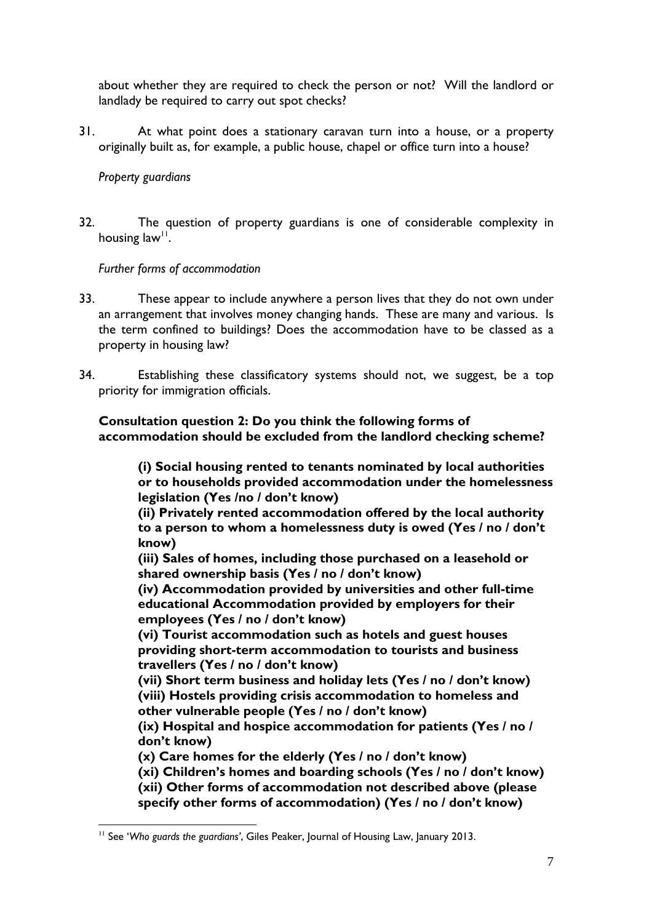about whether they are required to check the person or not? Will the landlord or landlady be required to carry out spot checks?

31. At what point does a stationary caravan turn into a house, or a property originally built as, for example, a public house, chapel or office turn into a house?

#### *Property guardians*

32. The question of property guardians is one of considerable complexity in housing  $law<sup>11</sup>$ .

*Further forms of accommodation* 

- 33. These appear to include anywhere a person lives that they do not own under an arrangement that involves money changing hands. These are many and various. Is the term confined to buildings? Does the accommodation have to be classed as a property in housing law?
- 34. Establishing these classificatory systems should not, we suggest, be a top priority for immigration officials.

**Consultation question 2: Do you think the following forms of accommodation should be excluded from the landlord checking scheme?** 

**(i) Social housing rented to tenants nominated by local authorities or to households provided accommodation under the homelessness legislation (Yes /no / don't know)** 

**(ii) Privately rented accommodation offered by the local authority to a person to whom a homelessness duty is owed (Yes / no / don't know)** 

**(iii) Sales of homes, including those purchased on a leasehold or shared ownership basis (Yes / no / don't know)** 

**(iv) Accommodation provided by universities and other full-time educational Accommodation provided by employers for their employees (Yes / no / don't know)** 

**(vi) Tourist accommodation such as hotels and guest houses providing short-term accommodation to tourists and business travellers (Yes / no / don't know)** 

**(vii) Short term business and holiday lets (Yes / no / don't know) (viii) Hostels providing crisis accommodation to homeless and other vulnerable people (Yes / no / don't know)** 

**(ix) Hospital and hospice accommodation for patients (Yes / no / don't know)** 

**(x) Care homes for the elderly (Yes / no / don't know)** 

**(xi) Children's homes and boarding schools (Yes / no / don't know) (xii) Other forms of accommodation not described above (please specify other forms of accommodation) (Yes / no / don't know)** 

 $\overline{a}$ 11 See '*Who guards the guardians'*, Giles Peaker, Journal of Housing Law, January 2013.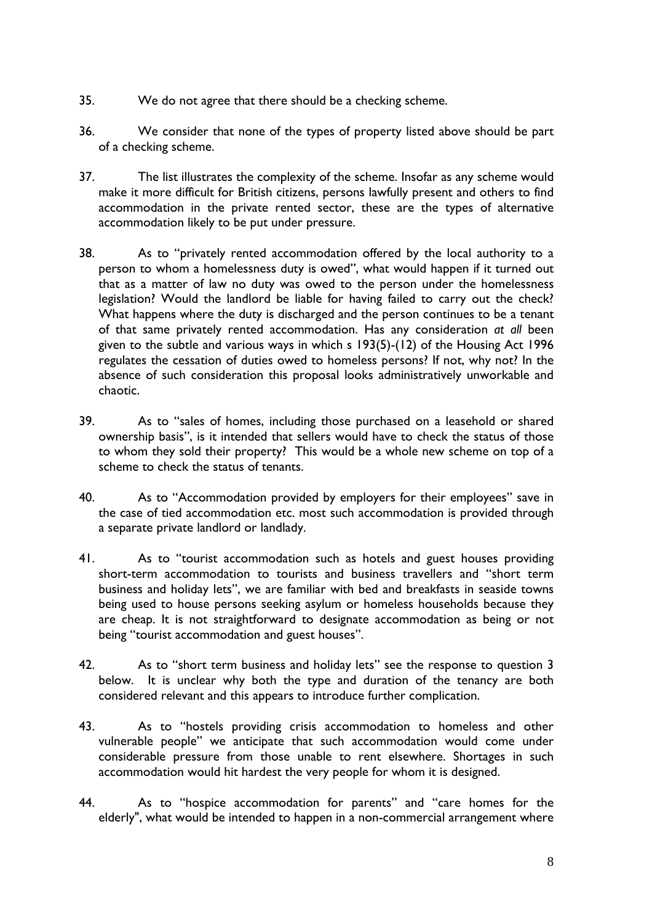- 35. We do not agree that there should be a checking scheme.
- 36. We consider that none of the types of property listed above should be part of a checking scheme.
- 37. The list illustrates the complexity of the scheme. Insofar as any scheme would make it more difficult for British citizens, persons lawfully present and others to find accommodation in the private rented sector, these are the types of alternative accommodation likely to be put under pressure.
- 38. As to "privately rented accommodation offered by the local authority to a person to whom a homelessness duty is owed", what would happen if it turned out that as a matter of law no duty was owed to the person under the homelessness legislation? Would the landlord be liable for having failed to carry out the check? What happens where the duty is discharged and the person continues to be a tenant of that same privately rented accommodation. Has any consideration *at all* been given to the subtle and various ways in which s 193(5)-(12) of the Housing Act 1996 regulates the cessation of duties owed to homeless persons? If not, why not? In the absence of such consideration this proposal looks administratively unworkable and chaotic.
- 39. As to "sales of homes, including those purchased on a leasehold or shared ownership basis", is it intended that sellers would have to check the status of those to whom they sold their property? This would be a whole new scheme on top of a scheme to check the status of tenants.
- 40. As to "Accommodation provided by employers for their employees" save in the case of tied accommodation etc. most such accommodation is provided through a separate private landlord or landlady.
- 41. As to "tourist accommodation such as hotels and guest houses providing short-term accommodation to tourists and business travellers and "short term business and holiday lets", we are familiar with bed and breakfasts in seaside towns being used to house persons seeking asylum or homeless households because they are cheap. It is not straightforward to designate accommodation as being or not being "tourist accommodation and guest houses".
- 42. As to "short term business and holiday lets" see the response to question 3 below. It is unclear why both the type and duration of the tenancy are both considered relevant and this appears to introduce further complication.
- 43. As to "hostels providing crisis accommodation to homeless and other vulnerable people" we anticipate that such accommodation would come under considerable pressure from those unable to rent elsewhere. Shortages in such accommodation would hit hardest the very people for whom it is designed.
- 44. As to "hospice accommodation for parents" and "care homes for the elderly", what would be intended to happen in a non-commercial arrangement where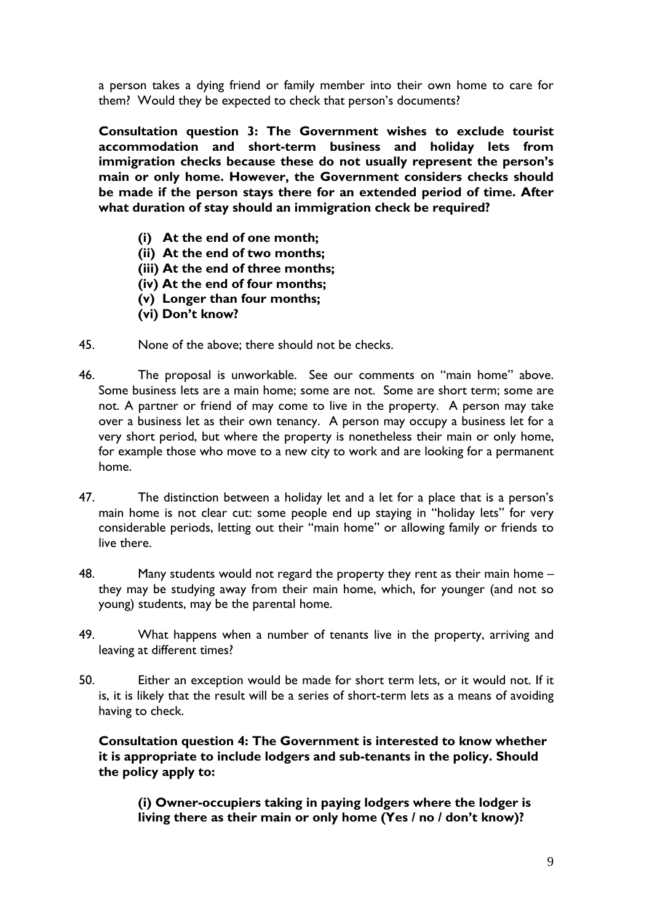a person takes a dying friend or family member into their own home to care for them? Would they be expected to check that person's documents?

**Consultation question 3: The Government wishes to exclude tourist accommodation and short-term business and holiday lets from immigration checks because these do not usually represent the person's main or only home. However, the Government considers checks should be made if the person stays there for an extended period of time. After what duration of stay should an immigration check be required?** 

- **(i) At the end of one month;**
- **(ii) At the end of two months;**
- **(iii) At the end of three months;**
- **(iv) At the end of four months;**
- **(v) Longer than four months;**
- **(vi) Don't know?**
- 45. None of the above; there should not be checks.
- 46. The proposal is unworkable. See our comments on "main home" above. Some business lets are a main home; some are not. Some are short term; some are not. A partner or friend of may come to live in the property. A person may take over a business let as their own tenancy. A person may occupy a business let for a very short period, but where the property is nonetheless their main or only home, for example those who move to a new city to work and are looking for a permanent home.
- 47. The distinction between a holiday let and a let for a place that is a person's main home is not clear cut: some people end up staying in "holiday lets" for very considerable periods, letting out their "main home" or allowing family or friends to live there.
- 48. Many students would not regard the property they rent as their main home they may be studying away from their main home, which, for younger (and not so young) students, may be the parental home.
- 49. What happens when a number of tenants live in the property, arriving and leaving at different times?
- 50. Either an exception would be made for short term lets, or it would not. If it is, it is likely that the result will be a series of short-term lets as a means of avoiding having to check.

**Consultation question 4: The Government is interested to know whether it is appropriate to include lodgers and sub-tenants in the policy. Should the policy apply to:** 

**(i) Owner-occupiers taking in paying lodgers where the lodger is living there as their main or only home (Yes / no / don't know)?**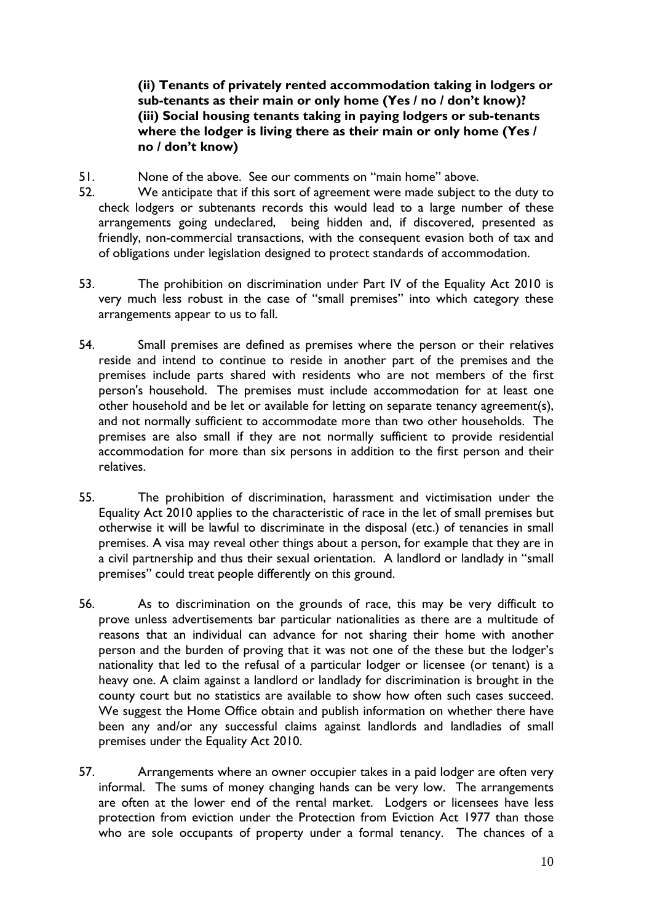**(ii) Tenants of privately rented accommodation taking in lodgers or sub-tenants as their main or only home (Yes / no / don't know)? (iii) Social housing tenants taking in paying lodgers or sub-tenants where the lodger is living there as their main or only home (Yes / no / don't know)** 

- 51. None of the above. See our comments on "main home" above.
- 52. We anticipate that if this sort of agreement were made subject to the duty to check lodgers or subtenants records this would lead to a large number of these arrangements going undeclared, being hidden and, if discovered, presented as friendly, non-commercial transactions, with the consequent evasion both of tax and of obligations under legislation designed to protect standards of accommodation.
- 53. The prohibition on discrimination under Part IV of the Equality Act 2010 is very much less robust in the case of "small premises" into which category these arrangements appear to us to fall.
- 54. Small premises are defined as premises where the person or their relatives reside and intend to continue to reside in another part of the premises and the premises include parts shared with residents who are not members of the first person's household. The premises must include accommodation for at least one other household and be let or available for letting on separate tenancy agreement(s), and not normally sufficient to accommodate more than two other households. The premises are also small if they are not normally sufficient to provide residential accommodation for more than six persons in addition to the first person and their relatives.
- 55. The prohibition of discrimination, harassment and victimisation under the Equality Act 2010 applies to the characteristic of race in the let of small premises but otherwise it will be lawful to discriminate in the disposal (etc.) of tenancies in small premises. A visa may reveal other things about a person, for example that they are in a civil partnership and thus their sexual orientation. A landlord or landlady in "small premises" could treat people differently on this ground.
- 56. As to discrimination on the grounds of race, this may be very difficult to prove unless advertisements bar particular nationalities as there are a multitude of reasons that an individual can advance for not sharing their home with another person and the burden of proving that it was not one of the these but the lodger's nationality that led to the refusal of a particular lodger or licensee (or tenant) is a heavy one. A claim against a landlord or landlady for discrimination is brought in the county court but no statistics are available to show how often such cases succeed. We suggest the Home Office obtain and publish information on whether there have been any and/or any successful claims against landlords and landladies of small premises under the Equality Act 2010.
- 57. Arrangements where an owner occupier takes in a paid lodger are often very informal. The sums of money changing hands can be very low. The arrangements are often at the lower end of the rental market. Lodgers or licensees have less protection from eviction under the Protection from Eviction Act 1977 than those who are sole occupants of property under a formal tenancy. The chances of a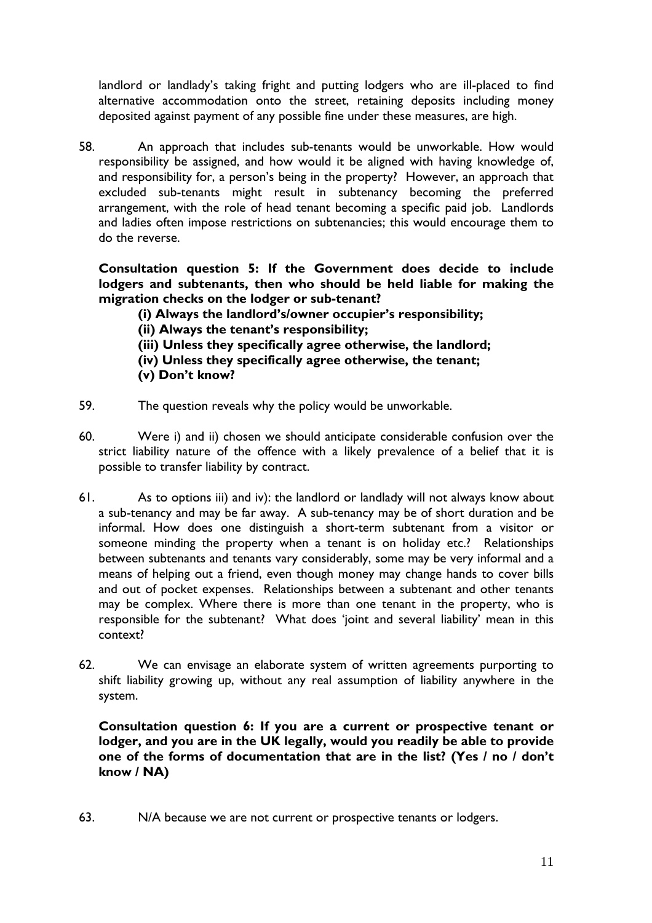landlord or landlady's taking fright and putting lodgers who are ill-placed to find alternative accommodation onto the street, retaining deposits including money deposited against payment of any possible fine under these measures, are high.

58. An approach that includes sub-tenants would be unworkable. How would responsibility be assigned, and how would it be aligned with having knowledge of, and responsibility for, a person's being in the property? However, an approach that excluded sub-tenants might result in subtenancy becoming the preferred arrangement, with the role of head tenant becoming a specific paid job. Landlords and ladies often impose restrictions on subtenancies; this would encourage them to do the reverse.

**Consultation question 5: If the Government does decide to include lodgers and subtenants, then who should be held liable for making the migration checks on the lodger or sub-tenant?** 

**(i) Always the landlord's/owner occupier's responsibility;** 

- **(ii) Always the tenant's responsibility;**
- **(iii) Unless they specifically agree otherwise, the landlord;**
- **(iv) Unless they specifically agree otherwise, the tenant;**
- **(v) Don't know?**
- 59. The question reveals why the policy would be unworkable.
- 60. Were i) and ii) chosen we should anticipate considerable confusion over the strict liability nature of the offence with a likely prevalence of a belief that it is possible to transfer liability by contract.
- 61. As to options iii) and iv): the landlord or landlady will not always know about a sub-tenancy and may be far away. A sub-tenancy may be of short duration and be informal. How does one distinguish a short-term subtenant from a visitor or someone minding the property when a tenant is on holiday etc.? Relationships between subtenants and tenants vary considerably, some may be very informal and a means of helping out a friend, even though money may change hands to cover bills and out of pocket expenses. Relationships between a subtenant and other tenants may be complex. Where there is more than one tenant in the property, who is responsible for the subtenant? What does 'joint and several liability' mean in this context?
- 62. We can envisage an elaborate system of written agreements purporting to shift liability growing up, without any real assumption of liability anywhere in the system.

**Consultation question 6: If you are a current or prospective tenant or lodger, and you are in the UK legally, would you readily be able to provide one of the forms of documentation that are in the list? (Yes / no / don't know / NA)** 

63. N/A because we are not current or prospective tenants or lodgers.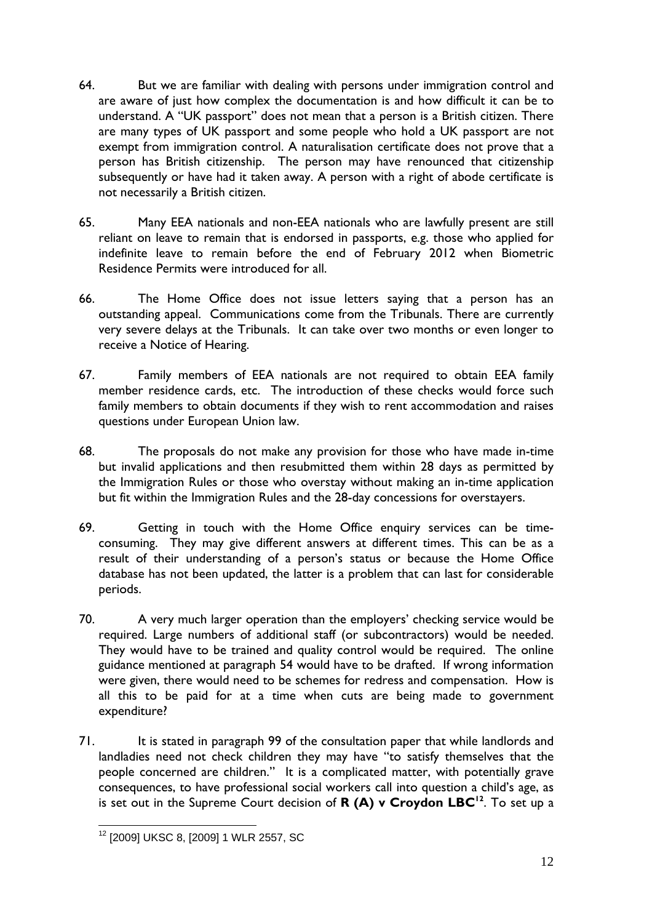- 64. But we are familiar with dealing with persons under immigration control and are aware of just how complex the documentation is and how difficult it can be to understand. A "UK passport" does not mean that a person is a British citizen. There are many types of UK passport and some people who hold a UK passport are not exempt from immigration control. A naturalisation certificate does not prove that a person has British citizenship. The person may have renounced that citizenship subsequently or have had it taken away. A person with a right of abode certificate is not necessarily a British citizen.
- 65. Many EEA nationals and non-EEA nationals who are lawfully present are still reliant on leave to remain that is endorsed in passports, e.g. those who applied for indefinite leave to remain before the end of February 2012 when Biometric Residence Permits were introduced for all.
- 66. The Home Office does not issue letters saying that a person has an outstanding appeal. Communications come from the Tribunals. There are currently very severe delays at the Tribunals. It can take over two months or even longer to receive a Notice of Hearing.
- 67. Family members of EEA nationals are not required to obtain EEA family member residence cards, etc. The introduction of these checks would force such family members to obtain documents if they wish to rent accommodation and raises questions under European Union law.
- 68. The proposals do not make any provision for those who have made in-time but invalid applications and then resubmitted them within 28 days as permitted by the Immigration Rules or those who overstay without making an in-time application but fit within the Immigration Rules and the 28-day concessions for overstayers.
- 69. Getting in touch with the Home Office enquiry services can be timeconsuming. They may give different answers at different times. This can be as a result of their understanding of a person's status or because the Home Office database has not been updated, the latter is a problem that can last for considerable periods.
- 70. A very much larger operation than the employers' checking service would be required. Large numbers of additional staff (or subcontractors) would be needed. They would have to be trained and quality control would be required. The online guidance mentioned at paragraph 54 would have to be drafted. If wrong information were given, there would need to be schemes for redress and compensation. How is all this to be paid for at a time when cuts are being made to government expenditure?
- 71. It is stated in paragraph 99 of the consultation paper that while landlords and landladies need not check children they may have "to satisfy themselves that the people concerned are children." It is a complicated matter, with potentially grave consequences, to have professional social workers call into question a child's age, as is set out in the Supreme Court decision of **R (A) v Croydon LBC<sup>12</sup>**. To set up a

 $\overline{a}$ <sup>12</sup> [2009] UKSC 8, [2009] 1 WLR 2557, SC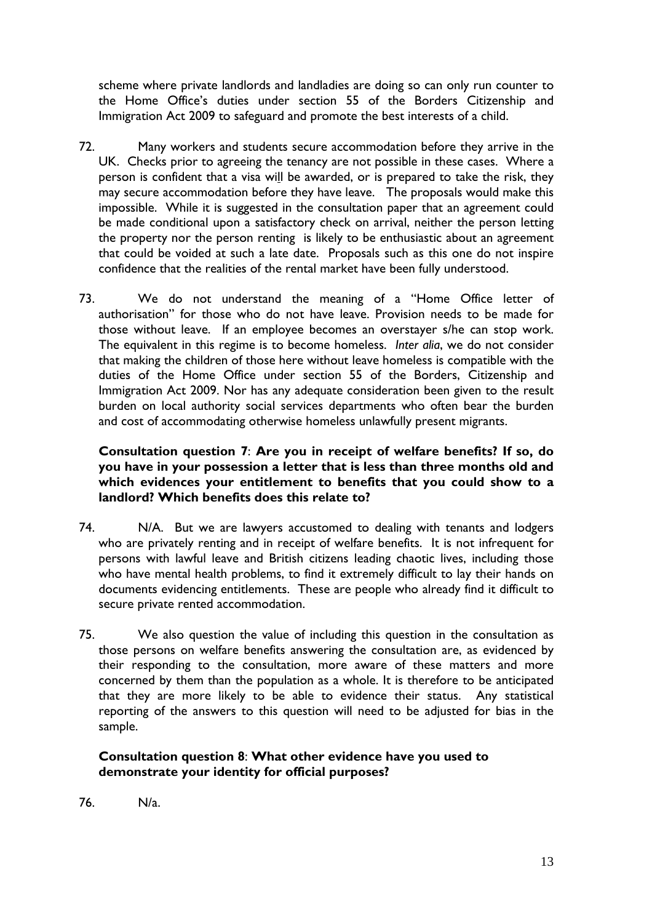scheme where private landlords and landladies are doing so can only run counter to the Home Office's duties under section 55 of the Borders Citizenship and Immigration Act 2009 to safeguard and promote the best interests of a child.

- 72. Many workers and students secure accommodation before they arrive in the UK. Checks prior to agreeing the tenancy are not possible in these cases. Where a person is confident that a visa will be awarded, or is prepared to take the risk, they may secure accommodation before they have leave. The proposals would make this impossible. While it is suggested in the consultation paper that an agreement could be made conditional upon a satisfactory check on arrival, neither the person letting the property nor the person renting is likely to be enthusiastic about an agreement that could be voided at such a late date. Proposals such as this one do not inspire confidence that the realities of the rental market have been fully understood.
- 73. We do not understand the meaning of a "Home Office letter of authorisation" for those who do not have leave. Provision needs to be made for those without leave. If an employee becomes an overstayer s/he can stop work. The equivalent in this regime is to become homeless. *Inter alia*, we do not consider that making the children of those here without leave homeless is compatible with the duties of the Home Office under section 55 of the Borders, Citizenship and Immigration Act 2009. Nor has any adequate consideration been given to the result burden on local authority social services departments who often bear the burden and cost of accommodating otherwise homeless unlawfully present migrants.

# **Consultation question 7**: **Are you in receipt of welfare benefits? If so, do you have in your possession a letter that is less than three months old and which evidences your entitlement to benefits that you could show to a landlord? Which benefits does this relate to?**

- 74. N/A. But we are lawyers accustomed to dealing with tenants and lodgers who are privately renting and in receipt of welfare benefits. It is not infrequent for persons with lawful leave and British citizens leading chaotic lives, including those who have mental health problems, to find it extremely difficult to lay their hands on documents evidencing entitlements. These are people who already find it difficult to secure private rented accommodation.
- 75. We also question the value of including this question in the consultation as those persons on welfare benefits answering the consultation are, as evidenced by their responding to the consultation, more aware of these matters and more concerned by them than the population as a whole. It is therefore to be anticipated that they are more likely to be able to evidence their status. Any statistical reporting of the answers to this question will need to be adjusted for bias in the sample.

# **Consultation question 8**: **What other evidence have you used to demonstrate your identity for official purposes?**

76. N/a.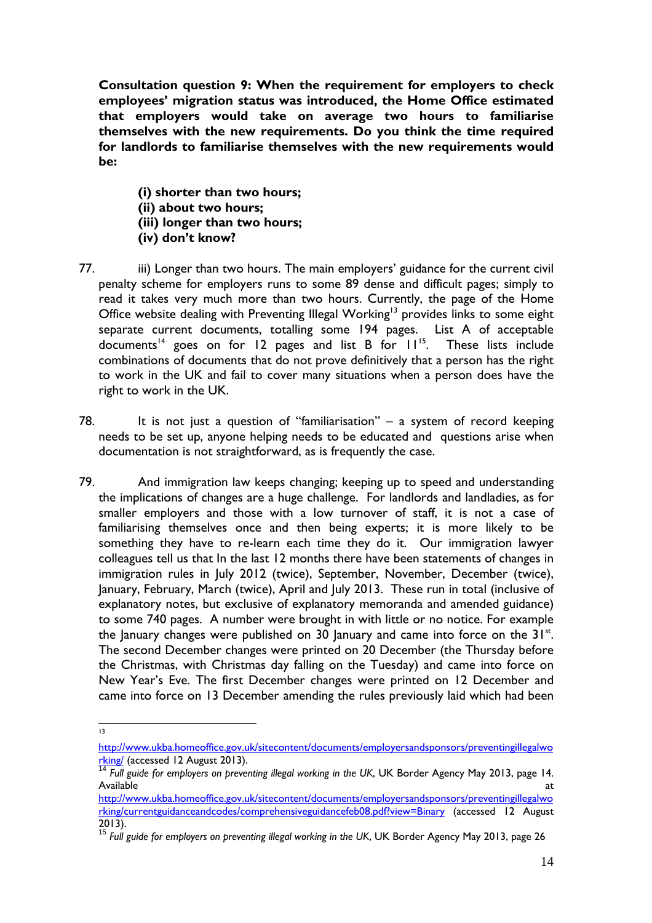**Consultation question 9: When the requirement for employers to check employees' migration status was introduced, the Home Office estimated that employers would take on average two hours to familiarise themselves with the new requirements. Do you think the time required for landlords to familiarise themselves with the new requirements would be:** 

**(i) shorter than two hours; (ii) about two hours; (iii) longer than two hours; (iv) don't know?** 

- 77. iii) Longer than two hours. The main employers' guidance for the current civil penalty scheme for employers runs to some 89 dense and difficult pages; simply to read it takes very much more than two hours. Currently, the page of the Home Office website dealing with Preventing Illegal Working<sup>13</sup> provides links to some eight separate current documents, totalling some 194 pages. List A of acceptable  $\frac{1}{2}$  documents<sup>14</sup> goes on for 12 pages and list B for  $11^{15}$ . These lists include combinations of documents that do not prove definitively that a person has the right to work in the UK and fail to cover many situations when a person does have the right to work in the UK.
- 78. It is not just a question of "familiarisation" a system of record keeping needs to be set up, anyone helping needs to be educated and questions arise when documentation is not straightforward, as is frequently the case.
- 79. And immigration law keeps changing; keeping up to speed and understanding the implications of changes are a huge challenge. For landlords and landladies, as for smaller employers and those with a low turnover of staff, it is not a case of familiarising themselves once and then being experts; it is more likely to be something they have to re-learn each time they do it. Our immigration lawyer colleagues tell us that In the last 12 months there have been statements of changes in immigration rules in July 2012 (twice), September, November, December (twice), January, February, March (twice), April and July 2013. These run in total (inclusive of explanatory notes, but exclusive of explanatory memoranda and amended guidance) to some 740 pages. A number were brought in with little or no notice. For example the January changes were published on 30 January and came into force on the  $31^{st}$ . The second December changes were printed on 20 December (the Thursday before the Christmas, with Christmas day falling on the Tuesday) and came into force on New Year's Eve. The first December changes were printed on 12 December and came into force on 13 December amending the rules previously laid which had been

 $\frac{1}{13}$ 

http://www.ukba.homeoffice.gov.uk/sitecontent/documents/employersandsponsors/preventingillegalwo rking/ (accessed 12 August 2013). <sup>14</sup> *Full guide for employers on preventing illegal working in the UK*, UK Border Agency May 2013, page 14.

Available and the contract of the contract of the contract of the contract of the contract of the contract of the contract of the contract of the contract of the contract of the contract of the contract of the contract of

http://www.ukba.homeoffice.gov.uk/sitecontent/documents/employersandsponsors/preventingillegalwo rking/currentguidanceandcodes/comprehensiveguidancefeb08.pdf?view=Binary (accessed 12 August 2013). 15 *Full guide for employers on preventing illegal working in the UK*, UK Border Agency May 2013, page 26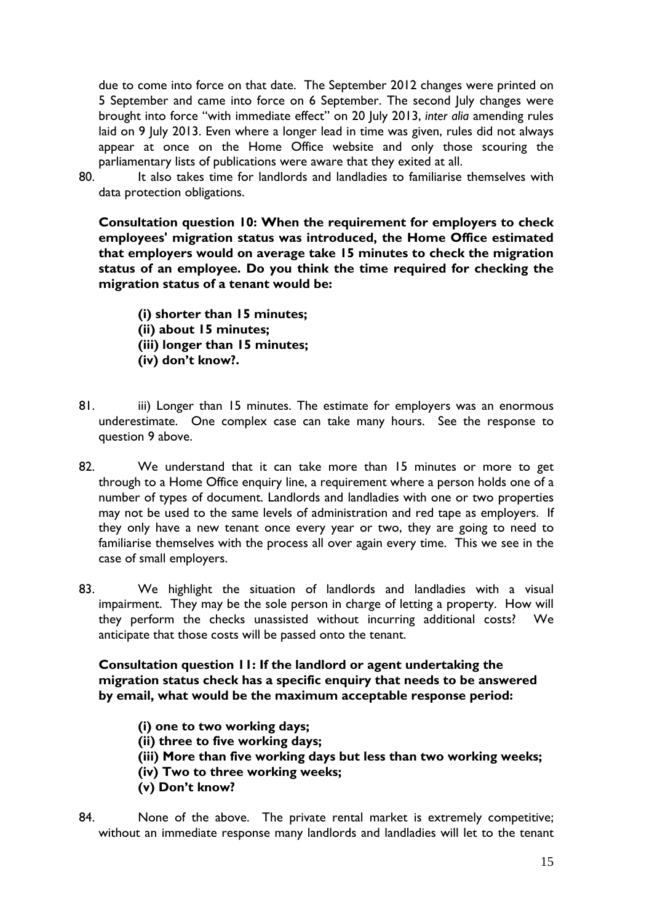due to come into force on that date. The September 2012 changes were printed on 5 September and came into force on 6 September. The second July changes were brought into force "with immediate effect" on 20 July 2013, *inter alia* amending rules laid on 9 July 2013. Even where a longer lead in time was given, rules did not always appear at once on the Home Office website and only those scouring the parliamentary lists of publications were aware that they exited at all.

80. It also takes time for landlords and landladies to familiarise themselves with data protection obligations.

**Consultation question 10: When the requirement for employers to check employees' migration status was introduced, the Home Office estimated that employers would on average take 15 minutes to check the migration status of an employee. Do you think the time required for checking the migration status of a tenant would be:** 

**(i) shorter than 15 minutes; (ii) about 15 minutes; (iii) longer than 15 minutes; (iv) don't know?.** 

- 81. iii) Longer than 15 minutes. The estimate for employers was an enormous underestimate. One complex case can take many hours. See the response to question 9 above.
- 82. We understand that it can take more than 15 minutes or more to get through to a Home Office enquiry line, a requirement where a person holds one of a number of types of document. Landlords and landladies with one or two properties may not be used to the same levels of administration and red tape as employers. If they only have a new tenant once every year or two, they are going to need to familiarise themselves with the process all over again every time. This we see in the case of small employers.
- 83. We highlight the situation of landlords and landladies with a visual impairment. They may be the sole person in charge of letting a property. How will they perform the checks unassisted without incurring additional costs? We anticipate that those costs will be passed onto the tenant.

**Consultation question 11: If the landlord or agent undertaking the migration status check has a specific enquiry that needs to be answered by email, what would be the maximum acceptable response period:** 

- **(i) one to two working days;**
- **(ii) three to five working days;**
- **(iii) More than five working days but less than two working weeks;**
- **(iv) Two to three working weeks;**
- **(v) Don't know?**
- 84. None of the above. The private rental market is extremely competitive; without an immediate response many landlords and landladies will let to the tenant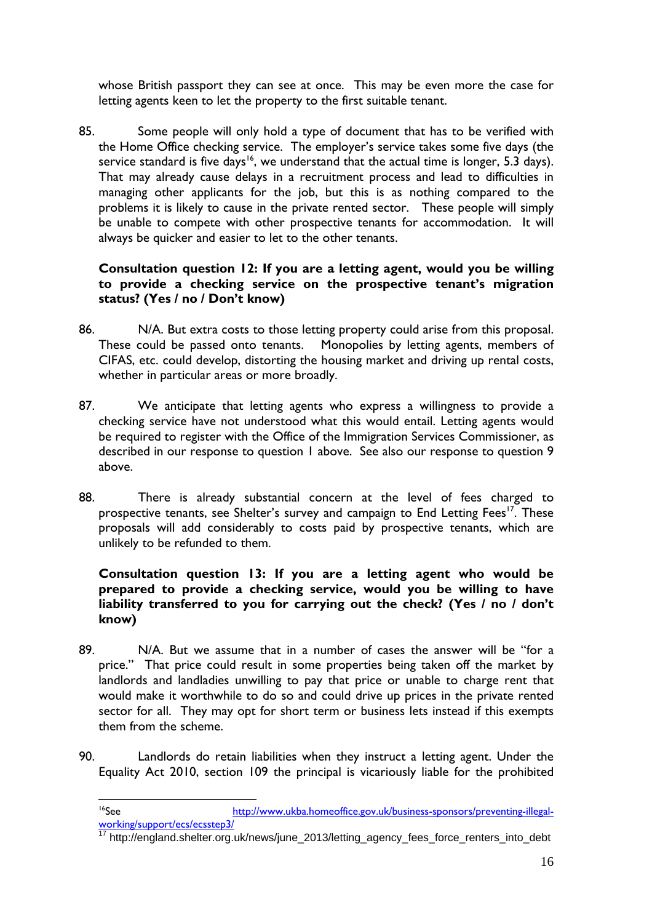whose British passport they can see at once. This may be even more the case for letting agents keen to let the property to the first suitable tenant.

85. Some people will only hold a type of document that has to be verified with the Home Office checking service. The employer's service takes some five days (the service standard is five days<sup>16</sup>, we understand that the actual time is longer, 5.3 days). That may already cause delays in a recruitment process and lead to difficulties in managing other applicants for the job, but this is as nothing compared to the problems it is likely to cause in the private rented sector. These people will simply be unable to compete with other prospective tenants for accommodation. It will always be quicker and easier to let to the other tenants.

# **Consultation question 12: If you are a letting agent, would you be willing to provide a checking service on the prospective tenant's migration status? (Yes / no / Don't know)**

- 86. N/A. But extra costs to those letting property could arise from this proposal. These could be passed onto tenants. Monopolies by letting agents, members of CIFAS, etc. could develop, distorting the housing market and driving up rental costs, whether in particular areas or more broadly.
- 87. We anticipate that letting agents who express a willingness to provide a checking service have not understood what this would entail. Letting agents would be required to register with the Office of the Immigration Services Commissioner, as described in our response to question 1 above. See also our response to question 9 above.
- 88. There is already substantial concern at the level of fees charged to prospective tenants, see Shelter's survey and campaign to End Letting Fees<sup>17</sup>. These proposals will add considerably to costs paid by prospective tenants, which are unlikely to be refunded to them.

# **Consultation question 13: If you are a letting agent who would be prepared to provide a checking service, would you be willing to have liability transferred to you for carrying out the check? (Yes / no / don't know)**

- 89. N/A. But we assume that in a number of cases the answer will be "for a price." That price could result in some properties being taken off the market by landlords and landladies unwilling to pay that price or unable to charge rent that would make it worthwhile to do so and could drive up prices in the private rented sector for all. They may opt for short term or business lets instead if this exempts them from the scheme.
- 90. Landlords do retain liabilities when they instruct a letting agent. Under the Equality Act 2010, section 109 the principal is vicariously liable for the prohibited

17 http://england.shelter.org.uk/news/june\_2013/letting\_agency\_fees\_force\_renters\_into\_debt

<sup>&</sup>lt;sup>16</sup>See http://www.ukba.homeoffice.gov.uk/business-sponsors/preventing-illegalworking/support/ecs/ecsstep3/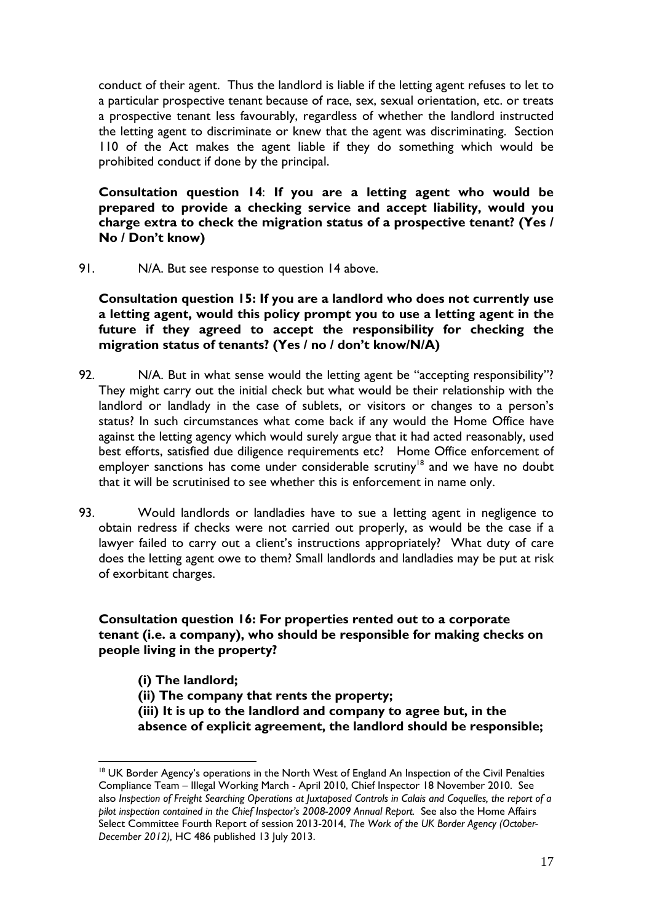conduct of their agent. Thus the landlord is liable if the letting agent refuses to let to a particular prospective tenant because of race, sex, sexual orientation, etc. or treats a prospective tenant less favourably, regardless of whether the landlord instructed the letting agent to discriminate or knew that the agent was discriminating. Section 110 of the Act makes the agent liable if they do something which would be prohibited conduct if done by the principal.

**Consultation question 14**: **If you are a letting agent who would be prepared to provide a checking service and accept liability, would you charge extra to check the migration status of a prospective tenant? (Yes / No / Don't know)**

91. N/A. But see response to question 14 above.

**Consultation question 15: If you are a landlord who does not currently use a letting agent, would this policy prompt you to use a letting agent in the future if they agreed to accept the responsibility for checking the migration status of tenants? (Yes / no / don't know/N/A)**

- 92. N/A. But in what sense would the letting agent be "accepting responsibility"? They might carry out the initial check but what would be their relationship with the landlord or landlady in the case of sublets, or visitors or changes to a person's status? In such circumstances what come back if any would the Home Office have against the letting agency which would surely argue that it had acted reasonably, used best efforts, satisfied due diligence requirements etc? Home Office enforcement of employer sanctions has come under considerable scrutiny<sup>18</sup> and we have no doubt that it will be scrutinised to see whether this is enforcement in name only.
- 93. Would landlords or landladies have to sue a letting agent in negligence to obtain redress if checks were not carried out properly, as would be the case if a lawyer failed to carry out a client's instructions appropriately? What duty of care does the letting agent owe to them? Small landlords and landladies may be put at risk of exorbitant charges.

# **Consultation question 16: For properties rented out to a corporate tenant (i.e. a company), who should be responsible for making checks on people living in the property?**

**(i) The landlord; (ii) The company that rents the property; (iii) It is up to the landlord and company to agree but, in the absence of explicit agreement, the landlord should be responsible;** 

 $\overline{a}$ 

<sup>&</sup>lt;sup>18</sup> UK Border Agency's operations in the North West of England An Inspection of the Civil Penalties Compliance Team – Illegal Working March - April 2010, Chief Inspector 18 November 2010. See also *Inspection of Freight Searching Operations at Juxtaposed Controls in Calais and Coquelles, the report of a pilot inspection contained in the Chief Inspector's 2008-2009 Annual Report.* See also the Home Affairs Select Committee Fourth Report of session 2013-2014, *The Work of the UK Border Agency (October-December 2012),* HC 486 published 13 July 2013.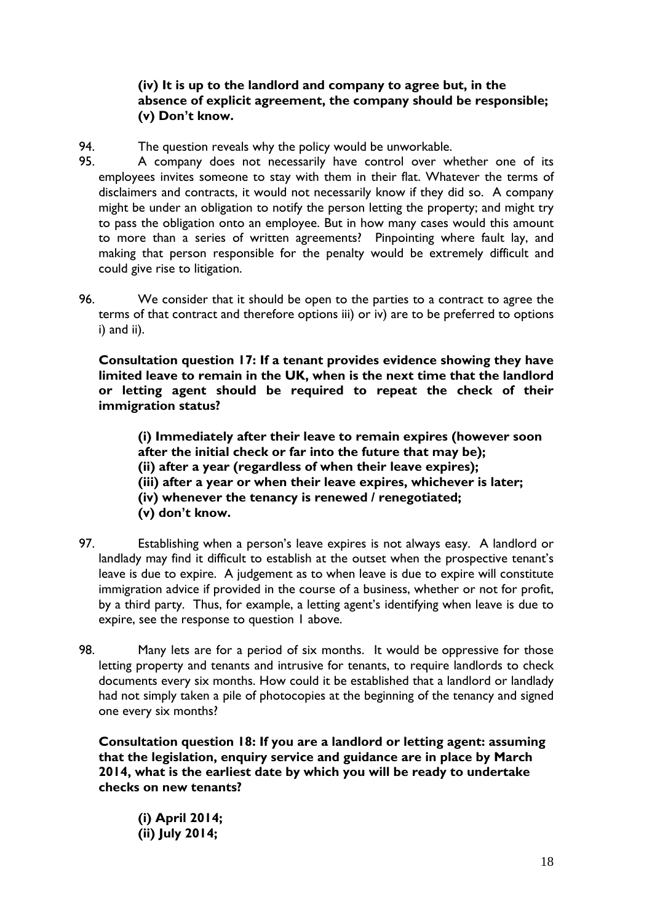# **(iv) It is up to the landlord and company to agree but, in the absence of explicit agreement, the company should be responsible; (v) Don't know.**

94. The question reveals why the policy would be unworkable.

- 95. A company does not necessarily have control over whether one of its employees invites someone to stay with them in their flat. Whatever the terms of disclaimers and contracts, it would not necessarily know if they did so. A company might be under an obligation to notify the person letting the property; and might try to pass the obligation onto an employee. But in how many cases would this amount to more than a series of written agreements? Pinpointing where fault lay, and making that person responsible for the penalty would be extremely difficult and could give rise to litigation.
- 96. We consider that it should be open to the parties to a contract to agree the terms of that contract and therefore options iii) or iv) are to be preferred to options i) and ii).

**Consultation question 17: If a tenant provides evidence showing they have limited leave to remain in the UK, when is the next time that the landlord or letting agent should be required to repeat the check of their immigration status?** 

**(i) Immediately after their leave to remain expires (however soon after the initial check or far into the future that may be); (ii) after a year (regardless of when their leave expires); (iii) after a year or when their leave expires, whichever is later; (iv) whenever the tenancy is renewed / renegotiated; (v) don't know.** 

- 97. Establishing when a person's leave expires is not always easy. A landlord or landlady may find it difficult to establish at the outset when the prospective tenant's leave is due to expire. A judgement as to when leave is due to expire will constitute immigration advice if provided in the course of a business, whether or not for profit, by a third party. Thus, for example, a letting agent's identifying when leave is due to expire, see the response to question 1 above.
- 98. Many lets are for a period of six months. It would be oppressive for those letting property and tenants and intrusive for tenants, to require landlords to check documents every six months. How could it be established that a landlord or landlady had not simply taken a pile of photocopies at the beginning of the tenancy and signed one every six months?

**Consultation question 18: If you are a landlord or letting agent: assuming that the legislation, enquiry service and guidance are in place by March 2014, what is the earliest date by which you will be ready to undertake checks on new tenants?** 

**(i) April 2014; (ii) July 2014;**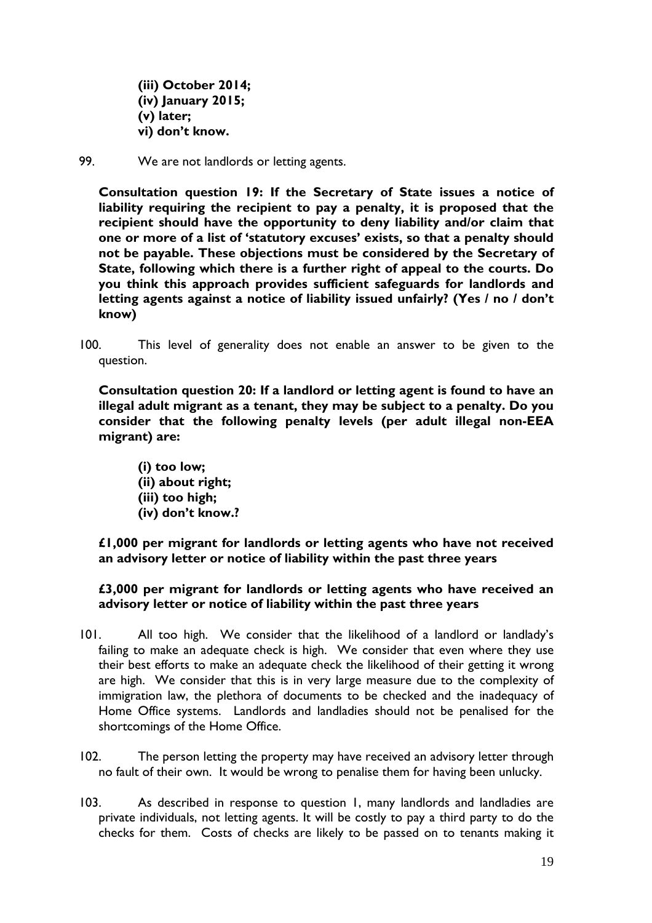**(iii) October 2014; (iv) January 2015; (v) later; vi) don't know.** 

99. We are not landlords or letting agents.

**Consultation question 19: If the Secretary of State issues a notice of liability requiring the recipient to pay a penalty, it is proposed that the recipient should have the opportunity to deny liability and/or claim that one or more of a list of 'statutory excuses' exists, so that a penalty should not be payable. These objections must be considered by the Secretary of State, following which there is a further right of appeal to the courts. Do you think this approach provides sufficient safeguards for landlords and letting agents against a notice of liability issued unfairly? (Yes / no / don't know)** 

100. This level of generality does not enable an answer to be given to the question.

**Consultation question 20: If a landlord or letting agent is found to have an illegal adult migrant as a tenant, they may be subject to a penalty. Do you consider that the following penalty levels (per adult illegal non-EEA migrant) are:** 

**(i) too low; (ii) about right; (iii) too high; (iv) don't know.?** 

**£1,000 per migrant for landlords or letting agents who have not received an advisory letter or notice of liability within the past three years** 

#### **£3,000 per migrant for landlords or letting agents who have received an advisory letter or notice of liability within the past three years**

- 101. All too high. We consider that the likelihood of a landlord or landlady's failing to make an adequate check is high. We consider that even where they use their best efforts to make an adequate check the likelihood of their getting it wrong are high. We consider that this is in very large measure due to the complexity of immigration law, the plethora of documents to be checked and the inadequacy of Home Office systems. Landlords and landladies should not be penalised for the shortcomings of the Home Office.
- 102. The person letting the property may have received an advisory letter through no fault of their own. It would be wrong to penalise them for having been unlucky.
- 103. As described in response to question 1, many landlords and landladies are private individuals, not letting agents. It will be costly to pay a third party to do the checks for them. Costs of checks are likely to be passed on to tenants making it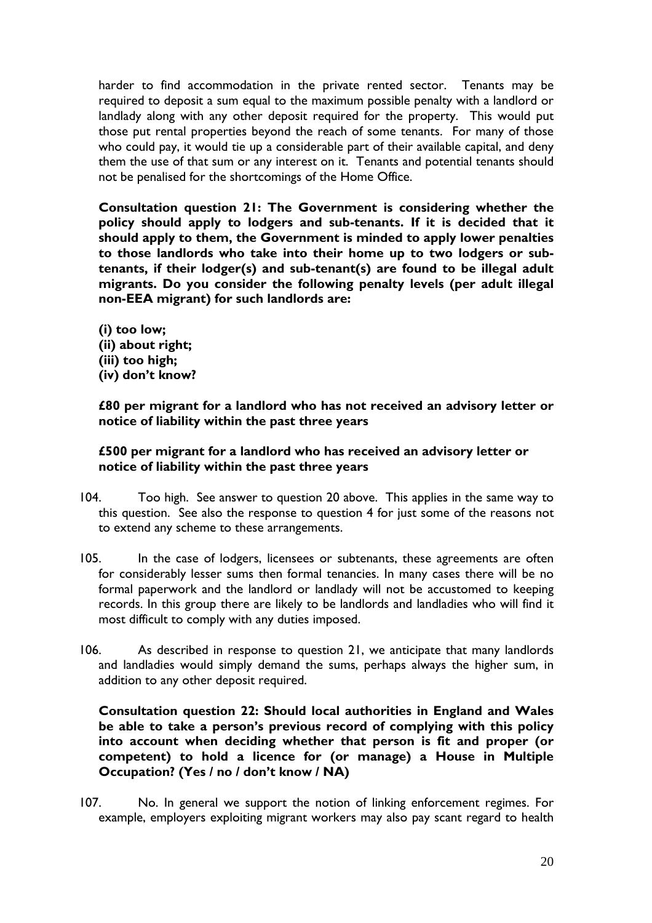harder to find accommodation in the private rented sector. Tenants may be required to deposit a sum equal to the maximum possible penalty with a landlord or landlady along with any other deposit required for the property. This would put those put rental properties beyond the reach of some tenants. For many of those who could pay, it would tie up a considerable part of their available capital, and deny them the use of that sum or any interest on it. Tenants and potential tenants should not be penalised for the shortcomings of the Home Office.

**Consultation question 21: The Government is considering whether the policy should apply to lodgers and sub-tenants. If it is decided that it should apply to them, the Government is minded to apply lower penalties to those landlords who take into their home up to two lodgers or subtenants, if their lodger(s) and sub-tenant(s) are found to be illegal adult migrants. Do you consider the following penalty levels (per adult illegal non-EEA migrant) for such landlords are:** 

**(i) too low; (ii) about right; (iii) too high; (iv) don't know?** 

**£80 per migrant for a landlord who has not received an advisory letter or notice of liability within the past three years** 

#### **£500 per migrant for a landlord who has received an advisory letter or notice of liability within the past three years**

- 104. Too high. See answer to question 20 above. This applies in the same way to this question. See also the response to question 4 for just some of the reasons not to extend any scheme to these arrangements.
- 105. In the case of lodgers, licensees or subtenants, these agreements are often for considerably lesser sums then formal tenancies. In many cases there will be no formal paperwork and the landlord or landlady will not be accustomed to keeping records. In this group there are likely to be landlords and landladies who will find it most difficult to comply with any duties imposed.
- 106. As described in response to question 21, we anticipate that many landlords and landladies would simply demand the sums, perhaps always the higher sum, in addition to any other deposit required.

**Consultation question 22: Should local authorities in England and Wales be able to take a person's previous record of complying with this policy into account when deciding whether that person is fit and proper (or competent) to hold a licence for (or manage) a House in Multiple Occupation? (Yes / no / don't know / NA)**

107. No. In general we support the notion of linking enforcement regimes. For example, employers exploiting migrant workers may also pay scant regard to health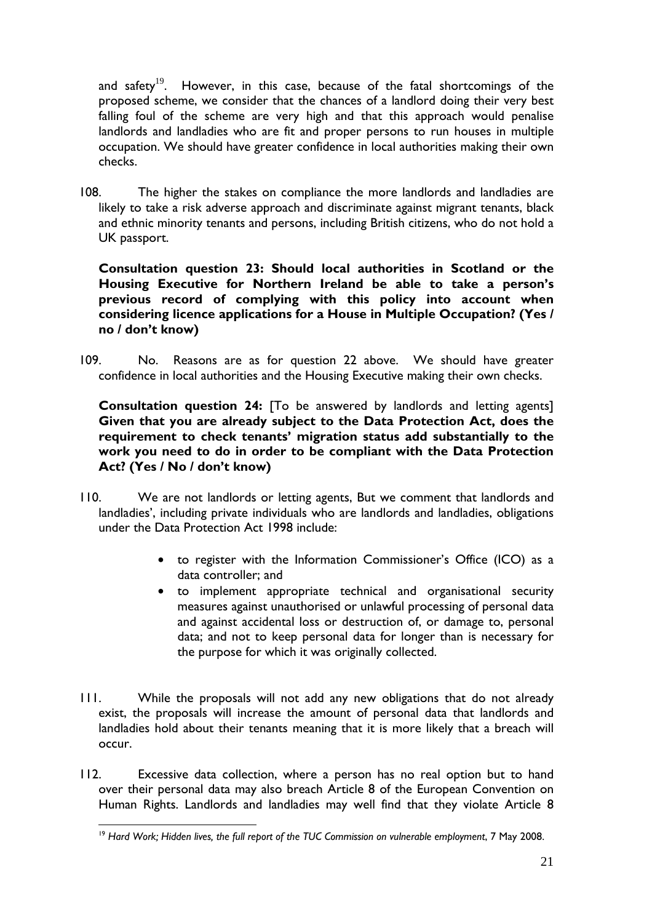and safety<sup>19</sup>. However, in this case, because of the fatal shortcomings of the proposed scheme, we consider that the chances of a landlord doing their very best falling foul of the scheme are very high and that this approach would penalise landlords and landladies who are fit and proper persons to run houses in multiple occupation. We should have greater confidence in local authorities making their own checks.

108. The higher the stakes on compliance the more landlords and landladies are likely to take a risk adverse approach and discriminate against migrant tenants, black and ethnic minority tenants and persons, including British citizens, who do not hold a UK passport.

**Consultation question 23: Should local authorities in Scotland or the Housing Executive for Northern Ireland be able to take a person's previous record of complying with this policy into account when considering licence applications for a House in Multiple Occupation? (Yes / no / don't know)** 

109. No. Reasons are as for question 22 above. We should have greater confidence in local authorities and the Housing Executive making their own checks.

**Consultation question 24:** [To be answered by landlords and letting agents] **Given that you are already subject to the Data Protection Act, does the requirement to check tenants' migration status add substantially to the work you need to do in order to be compliant with the Data Protection Act? (Yes / No / don't know)** 

- 110. We are not landlords or letting agents, But we comment that landlords and landladies', including private individuals who are landlords and landladies, obligations under the Data Protection Act 1998 include:
	- to register with the Information Commissioner's Office (ICO) as a data controller; and
	- to implement appropriate technical and organisational security measures against unauthorised or unlawful processing of personal data and against accidental loss or destruction of, or damage to, personal data; and not to keep personal data for longer than is necessary for the purpose for which it was originally collected.
- 111. While the proposals will not add any new obligations that do not already exist, the proposals will increase the amount of personal data that landlords and landladies hold about their tenants meaning that it is more likely that a breach will occur.
- 112. Excessive data collection, where a person has no real option but to hand over their personal data may also breach Article 8 of the European Convention on Human Rights. Landlords and landladies may well find that they violate Article 8

 $\overline{a}$ <sup>19</sup> Hard Work; Hidden lives, the full report of the TUC Commission on vulnerable employment, 7 May 2008.